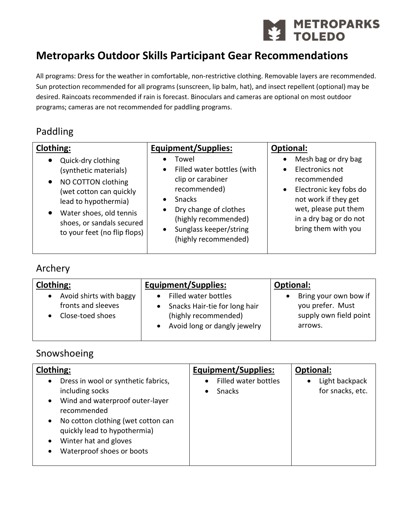

# **Metroparks Outdoor Skills Participant Gear Recommendations**

All programs: Dress for the weather in comfortable, non-restrictive clothing. Removable layers are recommended. Sun protection recommended for all programs (sunscreen, lip balm, hat), and insect repellent (optional) may be desired. Raincoats recommended if rain is forecast. Binoculars and cameras are optional on most outdoor programs; cameras are not recommended for paddling programs.

### Paddling

| <b>Clothing:</b>                                                                                                                                                                                                                                    | <b>Equipment/Supplies:</b>                                                                                                                                                                                             | <b>Optional:</b>                                                                                                                                                                                           |
|-----------------------------------------------------------------------------------------------------------------------------------------------------------------------------------------------------------------------------------------------------|------------------------------------------------------------------------------------------------------------------------------------------------------------------------------------------------------------------------|------------------------------------------------------------------------------------------------------------------------------------------------------------------------------------------------------------|
| Quick-dry clothing<br>$\bullet$<br>(synthetic materials)<br>NO COTTON clothing<br>$\bullet$<br>(wet cotton can quickly<br>lead to hypothermia)<br>Water shoes, old tennis<br>$\bullet$<br>shoes, or sandals secured<br>to your feet (no flip flops) | Towel<br>Filled water bottles (with<br>$\bullet$<br>clip or carabiner<br>recommended)<br><b>Snacks</b><br>Dry change of clothes<br>(highly recommended)<br>Sunglass keeper/string<br>$\bullet$<br>(highly recommended) | Mesh bag or dry bag<br>Electronics not<br>$\bullet$<br>recommended<br>Electronic key fobs do<br>$\bullet$<br>not work if they get<br>wet, please put them<br>in a dry bag or do not<br>bring them with you |

### Archery

| <b>Clothing:</b>                                                  | <b>Equipment/Supplies:</b>                                                                                    | <b>Optional:</b>                                                               |
|-------------------------------------------------------------------|---------------------------------------------------------------------------------------------------------------|--------------------------------------------------------------------------------|
| Avoid shirts with baggy<br>fronts and sleeves<br>Close-toed shoes | Filled water bottles<br>Snacks Hair-tie for long hair<br>(highly recommended)<br>Avoid long or dangly jewelry | Bring your own bow if<br>you prefer. Must<br>supply own field point<br>arrows. |

### Snowshoeing

| <b>Clothing:</b>                                 | <b>Equipment/Supplies:</b>        | <b>Optional:</b> |
|--------------------------------------------------|-----------------------------------|------------------|
| Dress in wool or synthetic fabrics,<br>$\bullet$ | Filled water bottles<br>$\bullet$ | Light backpack   |
| including socks                                  | <b>Snacks</b>                     | for snacks, etc. |
| Wind and waterproof outer-layer<br>$\bullet$     |                                   |                  |
| recommended                                      |                                   |                  |
| No cotton clothing (wet cotton can<br>$\bullet$  |                                   |                  |
| quickly lead to hypothermia)                     |                                   |                  |
| Winter hat and gloves<br>$\bullet$               |                                   |                  |
| Waterproof shoes or boots<br>$\bullet$           |                                   |                  |
|                                                  |                                   |                  |